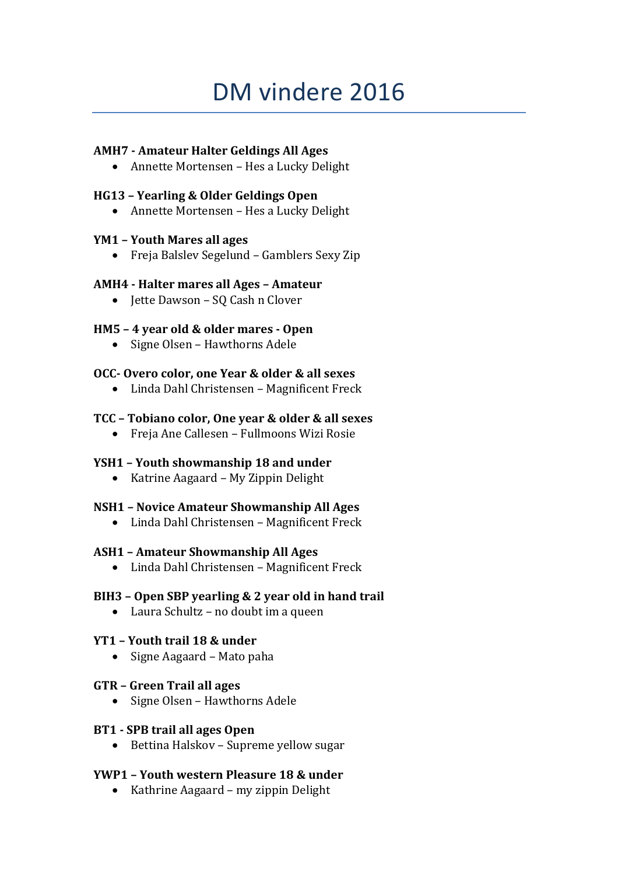# DM vindere 2016

## **AMH7 - Amateur Halter Geldings All Ages**

Annette Mortensen – Hes a Lucky Delight

# **HG13 – Yearling & Older Geldings Open**

Annette Mortensen – Hes a Lucky Delight

## **YM1 – Youth Mares all ages**

Freja Balslev Segelund – Gamblers Sexy Zip

## **AMH4 - Halter mares all Ages – Amateur**

• Jette Dawson – SQ Cash n Clover

# **HM5 – 4 year old & older mares - Open**

• Signe Olsen - Hawthorns Adele

# **OCC- Overo color, one Year & older & all sexes**

Linda Dahl Christensen – Magnificent Freck

# **TCC – Tobiano color, One year & older & all sexes**

Freja Ane Callesen – Fullmoons Wizi Rosie

# **YSH1 – Youth showmanship 18 and under**

• Katrine Aagaard – My Zippin Delight

## **NSH1 – Novice Amateur Showmanship All Ages**

Linda Dahl Christensen – Magnificent Freck

## **ASH1 – Amateur Showmanship All Ages**

Linda Dahl Christensen – Magnificent Freck

## **BIH3 – Open SBP yearling & 2 year old in hand trail**

Laura Schultz – no doubt im a queen

## **YT1 – Youth trail 18 & under**

• Signe Aagaard – Mato paha

## **GTR – Green Trail all ages**

• Signe Olsen – Hawthorns Adele

## **BT1 - SPB trail all ages Open**

• Bettina Halskov – Supreme yellow sugar

# **YWP1 – Youth western Pleasure 18 & under**

• Kathrine Aagaard – my zippin Delight